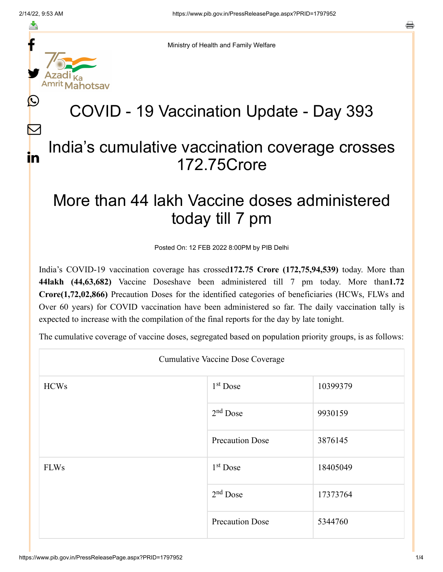≛

 $\mathbf{\Omega}$ 

 $\bm{\nabla}$ 

in

a



Ministry of Health and Family Welfare

# COVID - 19 Vaccination Update - Day 393

### India's cumulative vaccination coverage crosses 172.75Crore

## More than 44 lakh Vaccine doses administered today till 7 pm

Posted On: 12 FEB 2022 8:00PM by PIB Delhi

India's COVID-19 vaccination coverage has crossed**172.75 Crore (172,75,94,539)** today. More than **44lakh (44,63,682)** Vaccine Doseshave been administered till 7 pm today. More than**1.72 Crore(1,72,02,866)** Precaution Doses for the identified categories of beneficiaries (HCWs, FLWs and Over 60 years) for COVID vaccination have been administered so far. The daily vaccination tally is expected to increase with the compilation of the final reports for the day by late tonight.

The cumulative coverage of vaccine doses, segregated based on population priority groups, is as follows:

| <b>Cumulative Vaccine Dose Coverage</b> |                        |          |  |  |
|-----------------------------------------|------------------------|----------|--|--|
| <b>HCWs</b>                             | 1 <sup>st</sup> Dose   | 10399379 |  |  |
|                                         | $2nd$ Dose             | 9930159  |  |  |
|                                         | <b>Precaution Dose</b> | 3876145  |  |  |
| <b>FLWs</b>                             | $1st$ Dose             | 18405049 |  |  |
|                                         | $2nd$ Dose             | 17373764 |  |  |
|                                         | <b>Precaution Dose</b> | 5344760  |  |  |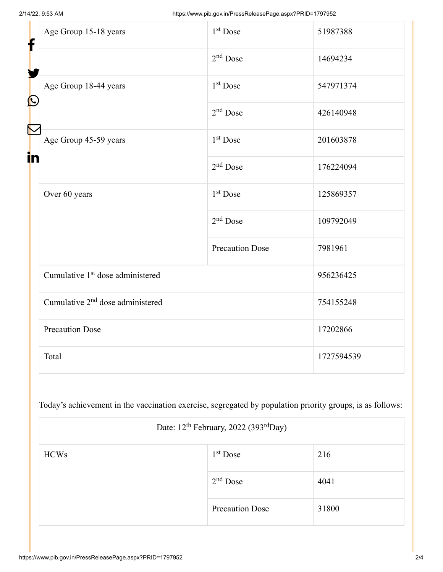| f<br>$\bf \Omega$ | Age Group 15-18 years                        | 1 <sup>st</sup> Dose   | 51987388   |
|-------------------|----------------------------------------------|------------------------|------------|
|                   |                                              | $2nd$ Dose             | 14694234   |
|                   | Age Group 18-44 years                        | $1st$ Dose             | 547971374  |
|                   |                                              | $2nd$ Dose             | 426140948  |
| in                | Age Group 45-59 years                        | $1st$ Dose             | 201603878  |
|                   |                                              | $2nd$ Dose             | 176224094  |
|                   | Over 60 years                                | $1st$ Dose             | 125869357  |
|                   |                                              | $2nd$ Dose             | 109792049  |
|                   |                                              | <b>Precaution Dose</b> | 7981961    |
|                   | Cumulative 1 <sup>st</sup> dose administered |                        | 956236425  |
|                   | Cumulative 2 <sup>nd</sup> dose administered |                        | 754155248  |
|                   | <b>Precaution Dose</b>                       |                        | 17202866   |
|                   | Total                                        |                        | 1727594539 |

Today's achievement in the vaccination exercise, segregated by population priority groups, is as follows:

| Date: 12 <sup>th</sup> February, 2022 (393 <sup>rd</sup> Day) |                        |       |  |
|---------------------------------------------------------------|------------------------|-------|--|
| <b>HCWs</b>                                                   | $1st$ Dose             | 216   |  |
|                                                               | $2nd$ Dose             | 4041  |  |
|                                                               | <b>Precaution Dose</b> | 31800 |  |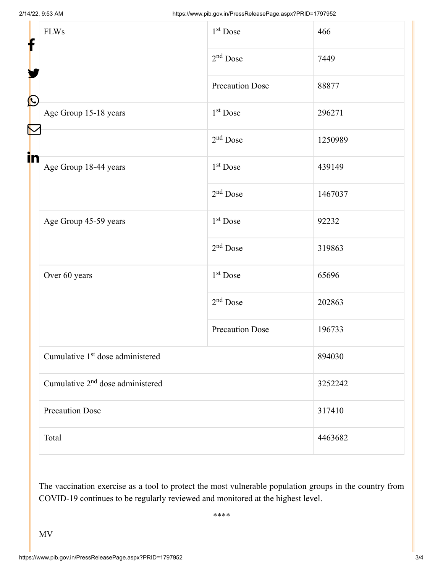| f          | <b>FLWs</b>                                  | 1 <sup>st</sup> Dose   | 466     |
|------------|----------------------------------------------|------------------------|---------|
|            |                                              | $2nd$ Dose             | 7449    |
|            |                                              | <b>Precaution Dose</b> | 88877   |
| $\bigcirc$ | Age Group 15-18 years                        | $1st$ Dose             | 296271  |
|            |                                              | $2nd$ Dose             | 1250989 |
| in         | Age Group 18-44 years                        | 1 <sup>st</sup> Dose   | 439149  |
|            |                                              | $2nd$ Dose             | 1467037 |
|            | Age Group 45-59 years                        | 1 <sup>st</sup> Dose   | 92232   |
|            |                                              | $2nd$ Dose             | 319863  |
|            | Over 60 years                                | $1st$ Dose             | 65696   |
|            |                                              | $2nd$ Dose             | 202863  |
|            |                                              | <b>Precaution Dose</b> | 196733  |
|            | Cumulative 1 <sup>st</sup> dose administered |                        | 894030  |
|            | Cumulative 2 <sup>nd</sup> dose administered |                        | 3252242 |
|            | <b>Precaution Dose</b>                       |                        | 317410  |
|            | Total                                        |                        | 4463682 |

The vaccination exercise as a tool to protect the most vulnerable population groups in the country from COVID-19 continues to be regularly reviewed and monitored at the highest level.

\*\*\*\*

MV